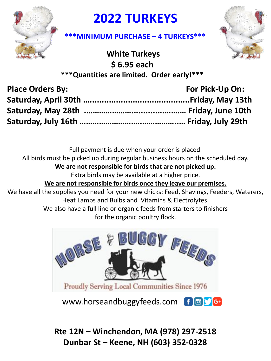

## **2022 TURKEYS**



## **\*\*\*MINIMUM PURCHASE – 4 TURKEYS\*\*\***

**White Turkeys \$ 6.95 each \*\*\*Quantities are limited. Order early!\*\*\***

| <b>Place Orders By:</b> | For Pick-Up On: |
|-------------------------|-----------------|
|                         |                 |
|                         |                 |
|                         |                 |

Full payment is due when your order is placed. All birds must be picked up during regular business hours on the scheduled day. **We are not responsible for birds that are not picked up.** 

Extra birds may be available at a higher price.

**We are not responsible for birds once they leave our premises.**

We have all the supplies you need for your new chicks: Feed, Shavings, Feeders, Waterers, Heat Lamps and Bulbs and Vitamins & Electrolytes. We also have a full line or organic feeds from starters to finishers

for the organic poultry flock.



www.horseandbuggyfeeds.com f a

**Rte 12N – Winchendon, MA (978) 297-2518 Dunbar St – Keene, NH (603) 352-0328**